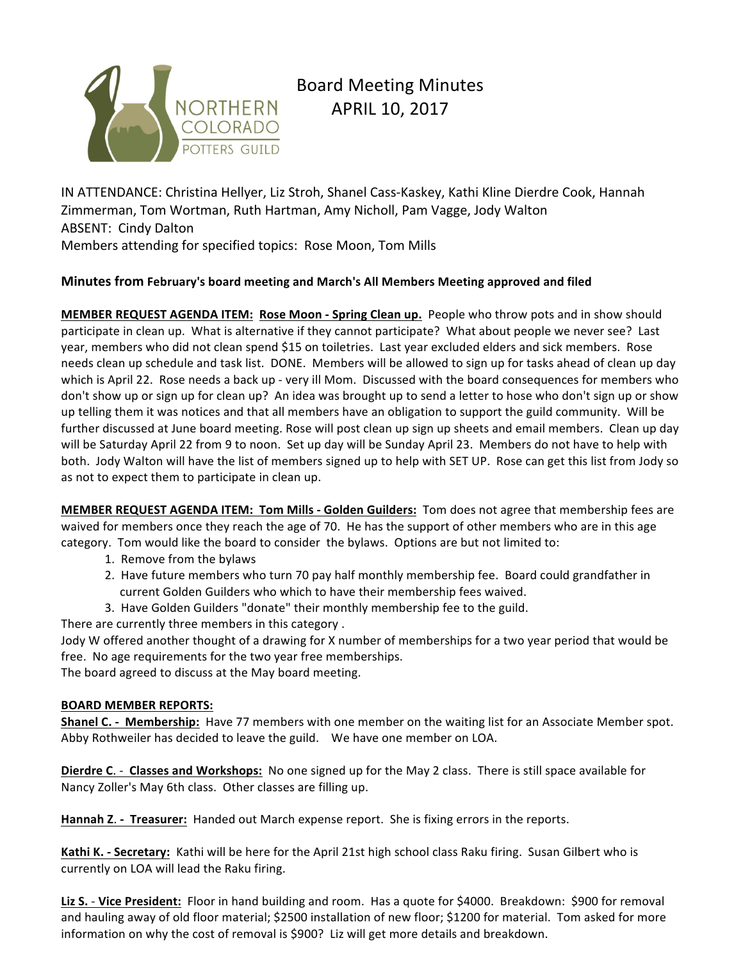

# Board Meeting Minutes APRIL 10, 2017

IN ATTENDANCE: Christina Hellyer, Liz Stroh, Shanel Cass-Kaskey, Kathi Kline Dierdre Cook, Hannah Zimmerman, Tom Wortman, Ruth Hartman, Amy Nicholl, Pam Vagge, Jody Walton ABSENT: Cindy Dalton Members attending for specified topics: Rose Moon, Tom Mills

## **Minutes from February's board meeting and March's All Members Meeting approved and filed**

**MEMBER REQUEST AGENDA ITEM: Rose Moon - Spring Clean up.** People who throw pots and in show should participate in clean up. What is alternative if they cannot participate? What about people we never see? Last year, members who did not clean spend \$15 on toiletries. Last year excluded elders and sick members. Rose needs clean up schedule and task list. DONE. Members will be allowed to sign up for tasks ahead of clean up day which is April 22. Rose needs a back up - very ill Mom. Discussed with the board consequences for members who don't show up or sign up for clean up? An idea was brought up to send a letter to hose who don't sign up or show up telling them it was notices and that all members have an obligation to support the guild community. Will be further discussed at June board meeting. Rose will post clean up sign up sheets and email members. Clean up day will be Saturday April 22 from 9 to noon. Set up day will be Sunday April 23. Members do not have to help with both. Jody Walton will have the list of members signed up to help with SET UP. Rose can get this list from Jody so as not to expect them to participate in clean up.

**MEMBER REQUEST AGENDA ITEM: Tom Mills - Golden Guilders:** Tom does not agree that membership fees are waived for members once they reach the age of 70. He has the support of other members who are in this age category. Tom would like the board to consider the bylaws. Options are but not limited to:

- 1. Remove from the bylaws
- 2. Have future members who turn 70 pay half monthly membership fee. Board could grandfather in current Golden Guilders who which to have their membership fees waived.
- 3. Have Golden Guilders "donate" their monthly membership fee to the guild.

There are currently three members in this category .

Jody W offered another thought of a drawing for X number of memberships for a two year period that would be free. No age requirements for the two year free memberships.

The board agreed to discuss at the May board meeting.

#### **BOARD MEMBER REPORTS:**

**Shanel C.** - Membership: Have 77 members with one member on the waiting list for an Associate Member spot. Abby Rothweiler has decided to leave the guild. We have one member on LOA.

**Dierdre C.** - **Classes and Workshops:** No one signed up for the May 2 class. There is still space available for Nancy Zoller's May 6th class. Other classes are filling up.

**Hannah Z. - Treasurer:** Handed out March expense report. She is fixing errors in the reports.

**Kathi K.** - Secretary: Kathi will be here for the April 21st high school class Raku firing. Susan Gilbert who is currently on LOA will lead the Raku firing.

Liz S. - Vice President: Floor in hand building and room. Has a quote for \$4000. Breakdown: \$900 for removal and hauling away of old floor material; \$2500 installation of new floor; \$1200 for material. Tom asked for more information on why the cost of removal is \$900? Liz will get more details and breakdown.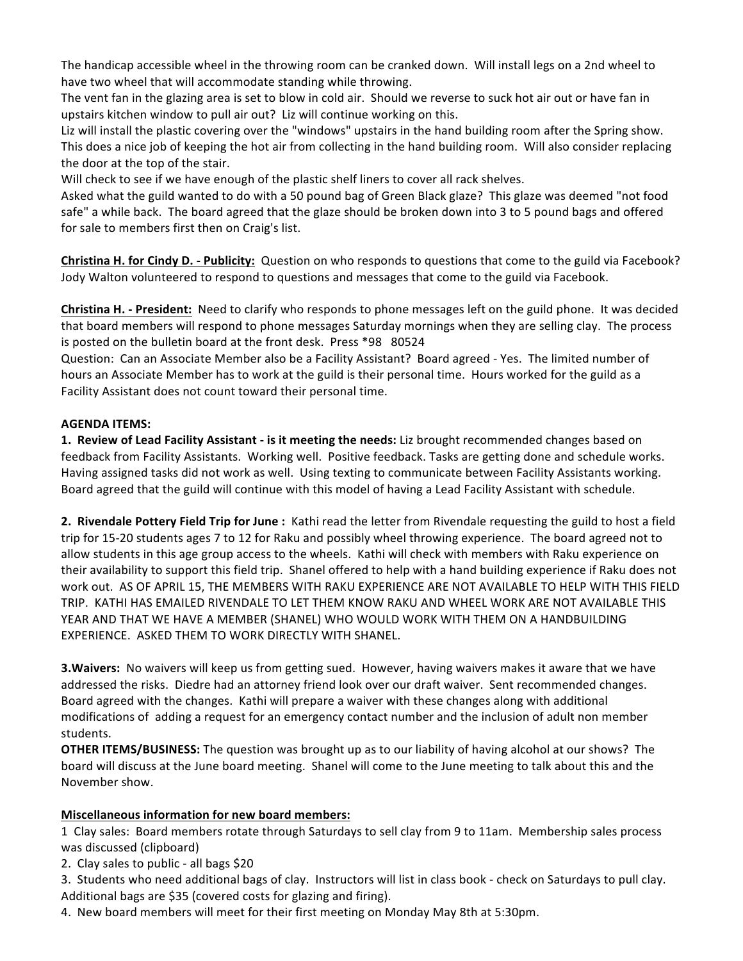The handicap accessible wheel in the throwing room can be cranked down. Will install legs on a 2nd wheel to have two wheel that will accommodate standing while throwing.

The vent fan in the glazing area is set to blow in cold air. Should we reverse to suck hot air out or have fan in upstairs kitchen window to pull air out? Liz will continue working on this.

Liz will install the plastic covering over the "windows" upstairs in the hand building room after the Spring show. This does a nice job of keeping the hot air from collecting in the hand building room. Will also consider replacing the door at the top of the stair.

Will check to see if we have enough of the plastic shelf liners to cover all rack shelves.

Asked what the guild wanted to do with a 50 pound bag of Green Black glaze? This glaze was deemed "not food safe" a while back. The board agreed that the glaze should be broken down into 3 to 5 pound bags and offered for sale to members first then on Craig's list.

**Christina H. for Cindy D. - Publicity:** Question on who responds to questions that come to the guild via Facebook? Jody Walton volunteered to respond to questions and messages that come to the guild via Facebook.

**Christina H.** - President: Need to clarify who responds to phone messages left on the guild phone. It was decided that board members will respond to phone messages Saturday mornings when they are selling clay. The process is posted on the bulletin board at the front desk. Press \*98 80524

Question: Can an Associate Member also be a Facility Assistant? Board agreed - Yes. The limited number of hours an Associate Member has to work at the guild is their personal time. Hours worked for the guild as a Facility Assistant does not count toward their personal time.

#### **AGENDA ITEMS:**

**1. Review of Lead Facility Assistant - is it meeting the needs:** Liz brought recommended changes based on feedback from Facility Assistants. Working well. Positive feedback. Tasks are getting done and schedule works. Having assigned tasks did not work as well. Using texting to communicate between Facility Assistants working. Board agreed that the guild will continue with this model of having a Lead Facility Assistant with schedule.

**2. Rivendale Pottery Field Trip for June:** Kathi read the letter from Rivendale requesting the guild to host a field trip for 15-20 students ages 7 to 12 for Raku and possibly wheel throwing experience. The board agreed not to allow students in this age group access to the wheels. Kathi will check with members with Raku experience on their availability to support this field trip. Shanel offered to help with a hand building experience if Raku does not work out. AS OF APRIL 15, THE MEMBERS WITH RAKU EXPERIENCE ARE NOT AVAILABLE TO HELP WITH THIS FIELD TRIP. KATHI HAS EMAILED RIVENDALE TO LET THEM KNOW RAKU AND WHEEL WORK ARE NOT AVAILABLE THIS YEAR AND THAT WE HAVE A MEMBER (SHANEL) WHO WOULD WORK WITH THEM ON A HANDBUILDING EXPERIENCE. ASKED THEM TO WORK DIRECTLY WITH SHANEL.

**3. Waivers:** No waivers will keep us from getting sued. However, having waivers makes it aware that we have addressed the risks. Diedre had an attorney friend look over our draft waiver. Sent recommended changes. Board agreed with the changes. Kathi will prepare a waiver with these changes along with additional modifications of adding a request for an emergency contact number and the inclusion of adult non member students.

**OTHER ITEMS/BUSINESS:** The question was brought up as to our liability of having alcohol at our shows? The board will discuss at the June board meeting. Shanel will come to the June meeting to talk about this and the November show.

## **Miscellaneous information for new board members:**

1 Clay sales: Board members rotate through Saturdays to sell clay from 9 to 11am. Membership sales process was discussed (clipboard)

2. Clay sales to public - all bags  $$20$ 

3. Students who need additional bags of clay. Instructors will list in class book - check on Saturdays to pull clay. Additional bags are \$35 (covered costs for glazing and firing).

4. New board members will meet for their first meeting on Monday May 8th at 5:30pm.